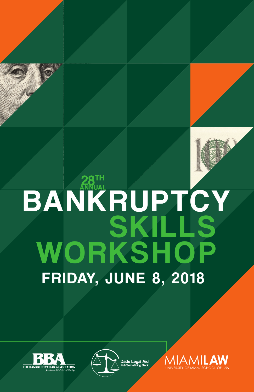# KSHOP SKILLS **BANKRUPTCY** FRIDAY, JUNE 8, 2018 **WOR**





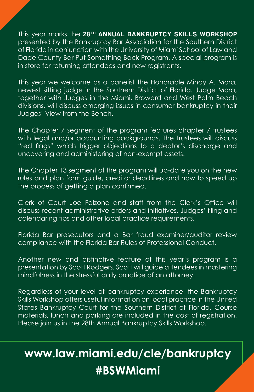This year marks the 28<sup>TH</sup> ANNUAL BANKRUPTCY SKILLS WORKSHOP presented by the Bankruptcy Bar Association for the Southern District of Florida in conjunction with the University of Miami School of Law and Dade County Bar Put Something Back Program. A special program is in store for returning attendees and new registrants.

This year we welcome as a panelist the Honorable Mindy A. Mora, newest sitting judge in the Southern District of Florida. Judge Mora, together with Judges in the Miami, Broward and West Palm Beach divisions, will discuss emerging issues in consumer bankruptcy in their Judges' View from the Bench.

The Chapter 7 segment of the program features chapter 7 trustees with legal and/or accounting backgrounds. The Trustees will discuss "red flags" which trigger objections to a debtor's discharge and uncovering and administering of non-exempt assets.

The Chapter 13 segment of the program will up-date you on the new rules and plan form guide, creditor deadlines and how to speed up the process of getting a plan confirmed.

Clerk of Court Joe Falzone and staff from the Clerk's Office will discuss recent administrative orders and initiatives, Judges' filing and calendaring tips and other local practice requirements.

Florida Bar prosecutors and a Bar fraud examiner/auditor review compliance with the Florida Bar Rules of Professional Conduct.

Another new and distinctive feature of this year's program is a presentation by Scott Rodgers. Scott will guide attendees in mastering mindfulness in the stressful daily practice of an attorney.

Regardless of your level of bankruptcy experience, the Bankruptcy Skills Workshop offers useful information on local practice in the United States Bankruptcy Court for the Southern District of Florida. Course materials, lunch and parking are included in the cost of registration. Please join us in the 28th Annual Bankruptcy Skills Workshop.

### **www.law.miami.edu/cle/bankruptcy #BSWMiami**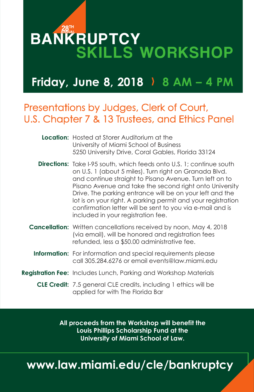## SKILLS WORKSHOP **BANKRUPTCY**

### **Friday, June 8, 2018** 〉 **8 AM – 4 PM**

### Presentations by Judges, Clerk of Court, U.S. Chapter 7 & 13 Trustees, and Ethics Panel

| <b>Location:</b> Hosted at Storer Auditorium at the |
|-----------------------------------------------------|
| University of Miami School of Business              |
| 5250 University Drive, Coral Gables, Florida 33124  |

- **Directions:** Take I-95 south, which feeds onto U.S. 1; continue south on U.S. 1 (about 5 miles). Turn right on Granada Blvd. and continue straight to Pisano Avenue. Turn left on to Pisano Avenue and take the second right onto University Drive. The parking entrance will be on your left and the lot is on your right. A parking permit and your registration confirmation letter will be sent to you via e-mail and is included in your registration fee.
- Cancellation: Written cancellations received by noon, May 4, 2018 (via email), will be honored and registration fees refunded, less a \$50.00 administrative fee.
	- Information: For information and special requirements please call 305.284.6276 or email events@law.miami.edu
- **Registration Fee:** Includes Lunch, Parking and Workshop Materials
	- **CLE Credit:** 7.5 general CLE credits, including 1 ethics will be applied for with The Florida Bar

**All proceeds from the Workshop will benefit the Louis Phillips Scholarship Fund at the University of Miami School of Law.**

### **www.law.miami.edu/cle/bankruptcy**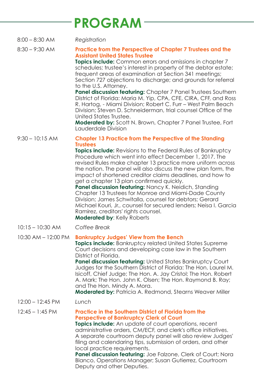### **PROGRAM**

8:00 – 8:30 AM *Registration*

#### 8:30 – 9:30 AM **Practice from the Perspective of Chapter 7 Trustees and the Assistant United States Trustee**

**Topics include:** Common errors and omissions in chapter 7 schedules; trustee's interest in property of the debtor estate; frequent areas of examination at Section 341 meetings; Section 727 objections to discharge; and grounds for referral to the U.S. Attorney.

**Panel discussion featuring:** Chapter 7 Panel Trustees Southern District of Florida: Maria M. Yip, CPA, CFE, CIRA, CFF, and Ross R. Hartog, - Miami Division; Robert C. Furr – West Palm Beach Division; Steven D. Schneiderman, trial counsel Office of the United States Trustee.

**Moderated by:** Scott N. Brown, Chapter 7 Panel Trustee, Fort Lauderdale Division

#### 9:30 – 10:15 AM **Chapter 13 Practice from the Perspective of the Standing Trustees**

**Topics include:** Revisions to the Federal Rules of Bankruptcy Procedure which went into effect December 1, 2017. The revised Rules make chapter 13 practice more uniform across the nation. The panel will also discuss the new plan form, the impact of shortened creditor claims deadlines, and how to get a chapter 13 plan confirmed quickly.

Panel discussion featuring: Nancy K. Neidich, Standing Chapter 13 Trustees for Monroe and Miami-Dade County Division; James Schwitalla, counsel for debtors; Gerard Michael Kouri, Jr., counsel for secured lenders; Neisa I. Garcia Ramirez, creditors' rights counsel. **Moderated by**: Kelly Roberts

10:15 – 10:30 AM *Coffee Break*

#### 10:30 AM – 12:00 PM **Bankruptcy Judges' View from the Bench**

**Topics include:** Bankruptcy related United States Supreme Court decisions and developing case law in the Southern District of Florida.

**Panel discussion featuring:** United States Bankruptcy Court Judges for the Southern District of Florida: The Hon. Laurel M. Isicoff, Chief Judge; The Hon. A. Jay Cristol; The Hon. Robert A. Mark; The Hon. John K. Olsen; The Hon. Raymond B. Ray; and The Hon. Mindy A. Mora.

**Moderated by:** Patricia A. Redmond, Stearns Weaver Miller

12:00 – 12:45 PM *Lunch*

#### 12:45 – 1:45 PM **Practice in the Southern District of Florida from the Perspective of Bankruptcy Clerk of Court**

**Topics include:** An update of court operations, recent administrative orders, CM/ECF, and clerk's office initiatives. A separate courtroom deputy panel will also review Judges' filing and calendaring tips, submission of orders, and other local practice requirements.

**Panel discussion featuring:** Joe Falzone, Clerk of Court; Nora Blanco, Operations Manager; Susan Gutierrez, Courtroom Deputy and other Deputies.